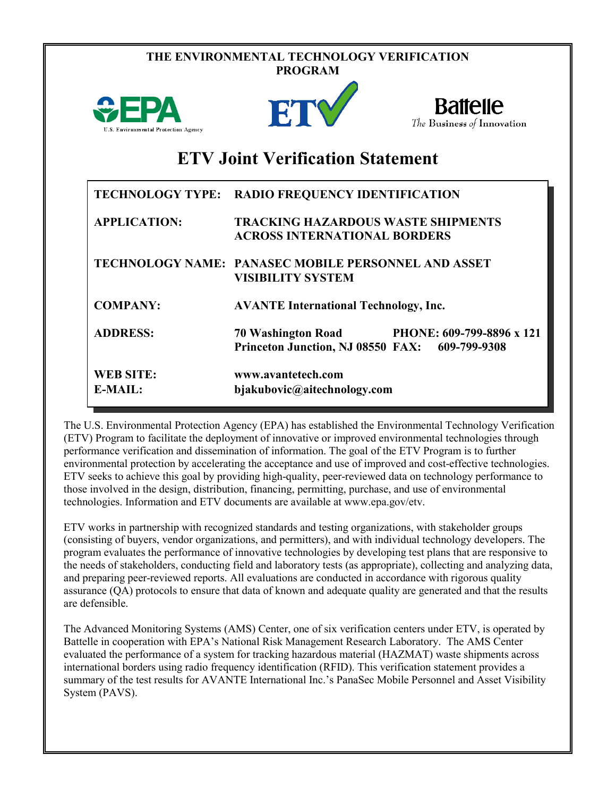| THE ENVIRONMENTAL TECHNOLOGY VERIFICATION<br><b>PROGRAM</b> |                                                                                  |                                               |  |  |
|-------------------------------------------------------------|----------------------------------------------------------------------------------|-----------------------------------------------|--|--|
| <b>WEPA</b><br>U.S. Environmental Protection Agency         | ETY                                                                              | <b>Battelle</b><br>The Business of Innovation |  |  |
| <b>ETV Joint Verification Statement</b>                     |                                                                                  |                                               |  |  |
|                                                             | TECHNOLOGY TYPE: RADIO FREQUENCY IDENTIFICATION                                  |                                               |  |  |
| <b>APPLICATION:</b>                                         | <b>TRACKING HAZARDOUS WASTE SHIPMENTS</b><br><b>ACROSS INTERNATIONAL BORDERS</b> |                                               |  |  |
|                                                             | TECHNOLOGY NAME: PANASEC MOBILE PERSONNEL AND ASSET<br><b>VISIBILITY SYSTEM</b>  |                                               |  |  |
| <b>COMPANY:</b>                                             | <b>AVANTE International Technology, Inc.</b>                                     |                                               |  |  |
| <b>ADDRESS:</b>                                             | <b>70 Washington Road</b><br><b>Princeton Junction, NJ 08550 FAX:</b>            | PHONE: 609-799-8896 x 121<br>609-799-9308     |  |  |
| <b>WEB SITE:</b><br>$E-MAIL:$                               | www.avantetech.com<br>bjakubovic@aitechnology.com                                |                                               |  |  |

The U.S. Environmental Protection Agency (EPA) has established the Environmental Technology Verification (ETV) Program to facilitate the deployment of innovative or improved environmental technologies through performance verification and dissemination of information. The goal of the ETV Program is to further environmental protection by accelerating the acceptance and use of improved and cost-effective technologies. ETV seeks to achieve this goal by providing high-quality, peer-reviewed data on technology performance to those involved in the design, distribution, financing, permitting, purchase, and use of environmental technologies. Information and ETV documents are available at www.epa.gov/etv.

ETV works in partnership with recognized standards and testing organizations, with stakeholder groups (consisting of buyers, vendor organizations, and permitters), and with individual technology developers. The program evaluates the performance of innovative technologies by developing test plans that are responsive to the needs of stakeholders, conducting field and laboratory tests (as appropriate), collecting and analyzing data, and preparing peer-reviewed reports. All evaluations are conducted in accordance with rigorous quality assurance (QA) protocols to ensure that data of known and adequate quality are generated and that the results are defensible.

The Advanced Monitoring Systems (AMS) Center, one of six verification centers under ETV, is operated by Battelle in cooperation with EPA's National Risk Management Research Laboratory. The AMS Center evaluated the performance of a system for tracking hazardous material (HAZMAT) waste shipments across international borders using radio frequency identification (RFID). This verification statement provides a summary of the test results for AVANTE International Inc.'s PanaSec Mobile Personnel and Asset Visibility System (PAVS).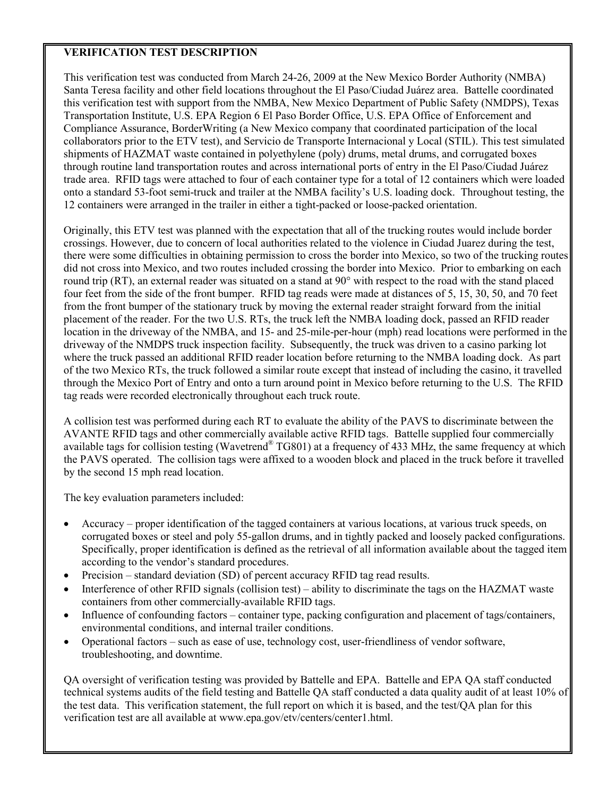## **VERIFICATION TEST DESCRIPTION**

This verification test was conducted from March 24-26, 2009 at the New Mexico Border Authority (NMBA) Santa Teresa facility and other field locations throughout the El Paso/Ciudad Juárez area. Battelle coordinated this verification test with support from the NMBA, New Mexico Department of Public Safety (NMDPS), Texas Transportation Institute, U.S. EPA Region 6 El Paso Border Office, U.S. EPA Office of Enforcement and Compliance Assurance, BorderWriting (a New Mexico company that coordinated participation of the local collaborators prior to the ETV test), and Servicio de Transporte Internacional y Local (STIL). This test simulated shipments of HAZMAT waste contained in polyethylene (poly) drums, metal drums, and corrugated boxes through routine land transportation routes and across international ports of entry in the El Paso/Ciudad Juárez trade area. RFID tags were attached to four of each container type for a total of 12 containers which were loaded onto a standard 53-foot semi-truck and trailer at the NMBA facility's U.S. loading dock. Throughout testing, the 12 containers were arranged in the trailer in either a tight-packed or loose-packed orientation.

Originally, this ETV test was planned with the expectation that all of the trucking routes would include border crossings. However, due to concern of local authorities related to the violence in Ciudad Juarez during the test, there were some difficulties in obtaining permission to cross the border into Mexico, so two of the trucking routes did not cross into Mexico, and two routes included crossing the border into Mexico. Prior to embarking on each round trip (RT), an external reader was situated on a stand at 90° with respect to the road with the stand placed four feet from the side of the front bumper. RFID tag reads were made at distances of 5, 15, 30, 50, and 70 feet from the front bumper of the stationary truck by moving the external reader straight forward from the initial placement of the reader. For the two U.S. RTs, the truck left the NMBA loading dock, passed an RFID reader location in the driveway of the NMBA, and 15- and 25-mile-per-hour (mph) read locations were performed in the driveway of the NMDPS truck inspection facility. Subsequently, the truck was driven to a casino parking lot where the truck passed an additional RFID reader location before returning to the NMBA loading dock. As part of the two Mexico RTs, the truck followed a similar route except that instead of including the casino, it travelled through the Mexico Port of Entry and onto a turn around point in Mexico before returning to the U.S. The RFID tag reads were recorded electronically throughout each truck route.

A collision test was performed during each RT to evaluate the ability of the PAVS to discriminate between the AVANTE RFID tags and other commercially available active RFID tags. Battelle supplied four commercially available tags for collision testing (Wavetrend® TG801) at a frequency of 433 MHz, the same frequency at which the PAVS operated. The collision tags were affixed to a wooden block and placed in the truck before it travelled by the second 15 mph read location.

The key evaluation parameters included:

- Accuracy proper identification of the tagged containers at various locations, at various truck speeds, on corrugated boxes or steel and poly 55-gallon drums, and in tightly packed and loosely packed configurations. Specifically, proper identification is defined as the retrieval of all information available about the tagged item according to the vendor's standard procedures.
- Precision standard deviation (SD) of percent accuracy RFID tag read results.
- Interference of other RFID signals (collision test) ability to discriminate the tags on the HAZMAT waste containers from other commercially-available RFID tags.
- Influence of confounding factors container type, packing configuration and placement of tags/containers, environmental conditions, and internal trailer conditions.
- Operational factors such as ease of use, technology cost, user-friendliness of vendor software, troubleshooting, and downtime.

QA oversight of verification testing was provided by Battelle and EPA. Battelle and EPA QA staff conducted technical systems audits of the field testing and Battelle QA staff conducted a data quality audit of at least 10% of the test data. This verification statement, the full report on which it is based, and the test/QA plan for this verification test are all available at www.epa.gov/etv/centers/center1.html.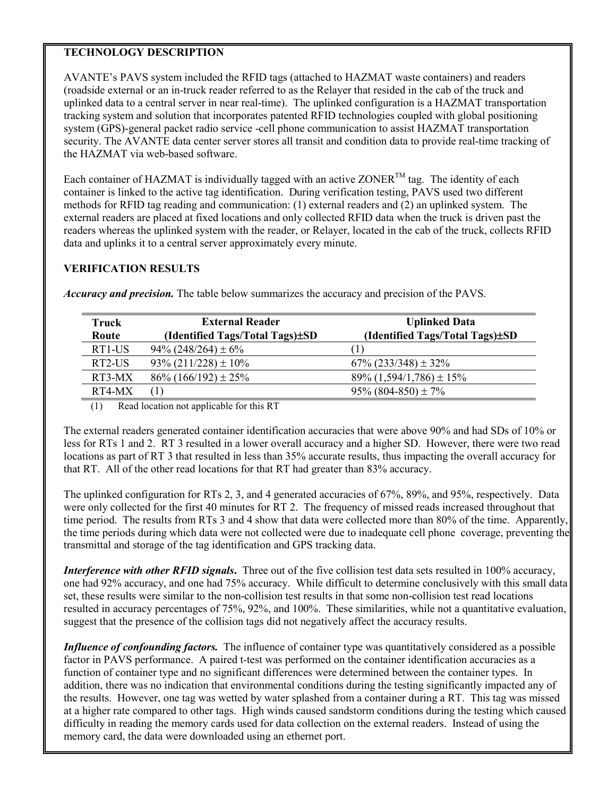## **TECHNOLOGY DESCRIPTION**

AVANTE's PAVS system included the RFID tags (attached to HAZMAT waste containers) and readers (roadside external or an in-truck reader referred to as the Relayer that resided in the cab of the truck and uplinked data to a central server in near real-time). The uplinked configuration is a HAZMAT transportation tracking system and solution that incorporates patented RFID technologies coupled with global positioning system (GPS)-general packet radio service -cell phone communication to assist HAZMAT transportation security. The AVANTE data center server stores all transit and condition data to provide real-time tracking of the HAZMAT via web-based software.

Each container of HAZMAT is individually tagged with an active ZONER<sup>TM</sup> tag. The identity of each container is linked to the active tag identification. During verification testing, PAVS used two different methods for RFID tag reading and communication: (1) external readers and (2) an uplinked system. The external readers are placed at fixed locations and only collected RFID data when the truck is driven past the readers whereas the uplinked system with the reader, or Relayer, located in the cab of the truck, collects RFID data and uplinks it to a central server approximately every minute.

## **VERIFICATION RESULTS**

| Truck<br>Route | <b>External Reader</b><br>(Identified Tags/Total Tags)±SD | <b>Uplinked Data</b><br>(Identified Tags/Total Tags)±SD |
|----------------|-----------------------------------------------------------|---------------------------------------------------------|
| RT1-US         | $94\%$ (248/264) ± 6%                                     |                                                         |
| RT2-US         | $93\% (211/228) \pm 10\%$                                 | $67\%$ (233/348) $\pm$ 32%                              |
| RT3-MX         | $86\%$ (166/192) $\pm$ 25%                                | $89\% (1,594/1,786) \pm 15\%$                           |
| RT4-MX         | $\left(1\right)$                                          | $95\%$ (804-850) ± 7%                                   |

*Accuracy and precision.* The table below summarizes the accuracy and precision of the PAVS.

(1) Read location not applicable for this RT

The external readers generated container identification accuracies that were above 90% and had SDs of 10% or less for RTs 1 and 2. RT 3 resulted in a lower overall accuracy and a higher SD. However, there were two read locations as part of RT 3 that resulted in less than 35% accurate results, thus impacting the overall accuracy for that RT. All of the other read locations for that RT had greater than 83% accuracy.

The uplinked configuration for RTs 2, 3, and 4 generated accuracies of 67%, 89%, and 95%, respectively. Data were only collected for the first 40 minutes for RT 2. The frequency of missed reads increased throughout that time period. The results from RTs 3 and 4 show that data were collected more than 80% of the time. Apparently, the time periods during which data were not collected were due to inadequate cell phone coverage, preventing the transmittal and storage of the tag identification and GPS tracking data.

*Interference with other RFID signals*. Three out of the five collision test data sets resulted in 100% accuracy, one had 92% accuracy, and one had 75% accuracy. While difficult to determine conclusively with this small data set, these results were similar to the non-collision test results in that some non-collision test read locations resulted in accuracy percentages of 75%, 92%, and 100%. These similarities, while not a quantitative evaluation, suggest that the presence of the collision tags did not negatively affect the accuracy results.

*Influence of confounding factors.* The influence of container type was quantitatively considered as a possible factor in PAVS performance. A paired t-test was performed on the container identification accuracies as a function of container type and no significant differences were determined between the container types. In addition, there was no indication that environmental conditions during the testing significantly impacted any of the results. However, one tag was wetted by water splashed from a container during a RT. This tag was missed at a higher rate compared to other tags. High winds caused sandstorm conditions during the testing which caused difficulty in reading the memory cards used for data collection on the external readers. Instead of using the memory card, the data were downloaded using an ethernet port.